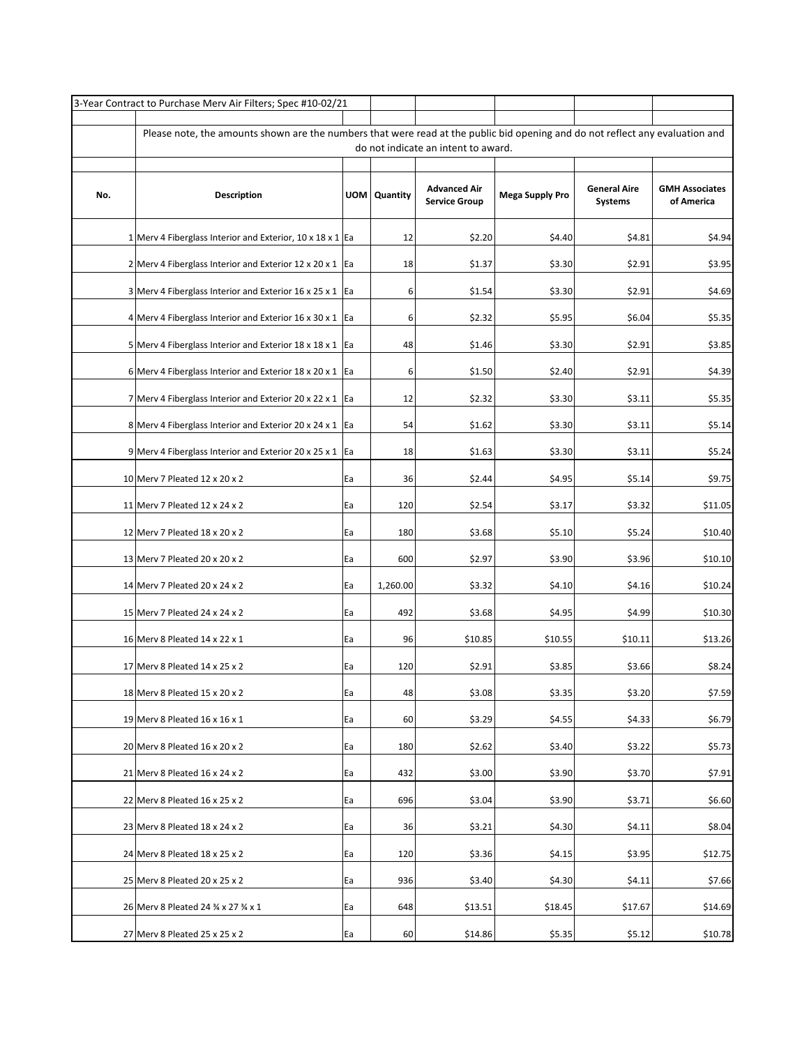|     | 3-Year Contract to Purchase Merv Air Filters; Spec #10-02/21                                                                                                         |    |                |                                             |                        |                                       |                                     |  |  |  |  |  |
|-----|----------------------------------------------------------------------------------------------------------------------------------------------------------------------|----|----------------|---------------------------------------------|------------------------|---------------------------------------|-------------------------------------|--|--|--|--|--|
|     |                                                                                                                                                                      |    |                |                                             |                        |                                       |                                     |  |  |  |  |  |
|     | Please note, the amounts shown are the numbers that were read at the public bid opening and do not reflect any evaluation and<br>do not indicate an intent to award. |    |                |                                             |                        |                                       |                                     |  |  |  |  |  |
|     |                                                                                                                                                                      |    |                |                                             |                        |                                       |                                     |  |  |  |  |  |
| No. | <b>Description</b>                                                                                                                                                   |    | UOM   Quantity | <b>Advanced Air</b><br><b>Service Group</b> | <b>Mega Supply Pro</b> | <b>General Aire</b><br><b>Systems</b> | <b>GMH Associates</b><br>of America |  |  |  |  |  |
|     | 1 Merv 4 Fiberglass Interior and Exterior, $10 \times 18 \times 1$ Ea                                                                                                |    | 12             | \$2.20                                      | \$4.40                 | \$4.81                                | \$4.94                              |  |  |  |  |  |
|     | 2 Merv 4 Fiberglass Interior and Exterior 12 x 20 x 1 Ea                                                                                                             |    | 18             | \$1.37                                      | \$3.30                 | \$2.91                                | \$3.95                              |  |  |  |  |  |
|     | 3 Merv 4 Fiberglass Interior and Exterior 16 x 25 x 1 Ea                                                                                                             |    | 6              | \$1.54                                      | \$3.30                 | \$2.91                                | \$4.69                              |  |  |  |  |  |
|     | 4 Merv 4 Fiberglass Interior and Exterior 16 x 30 x 1 Ea                                                                                                             |    | 6              | \$2.32                                      | \$5.95                 | \$6.04                                | \$5.35                              |  |  |  |  |  |
|     | 5 Merv 4 Fiberglass Interior and Exterior 18 x 18 x 1 Ea                                                                                                             |    | 48             | \$1.46                                      | \$3.30                 | \$2.91                                | \$3.85                              |  |  |  |  |  |
|     | 6 Merv 4 Fiberglass Interior and Exterior 18 x 20 x 1 Ea                                                                                                             |    | 6              | \$1.50                                      | \$2.40                 | \$2.91                                | \$4.39                              |  |  |  |  |  |
|     | 7 Merv 4 Fiberglass Interior and Exterior 20 x 22 x 1   Ea                                                                                                           |    | 12             | \$2.32                                      | \$3.30                 | \$3.11                                | \$5.35                              |  |  |  |  |  |
|     | 8 Merv 4 Fiberglass Interior and Exterior 20 x 24 x 1 Ea                                                                                                             |    | 54             | \$1.62                                      | \$3.30                 | \$3.11                                | \$5.14                              |  |  |  |  |  |
|     | 9 Merv 4 Fiberglass Interior and Exterior 20 x 25 x 1 $ $ Ea                                                                                                         |    | 18             | \$1.63                                      | \$3.30                 | \$3.11                                | \$5.24                              |  |  |  |  |  |
|     | 10 Merv 7 Pleated 12 x 20 x 2                                                                                                                                        | Ea | 36             | \$2.44                                      | \$4.95                 | \$5.14                                | \$9.75                              |  |  |  |  |  |
|     | 11 Merv 7 Pleated 12 x 24 x 2                                                                                                                                        | Ea | 120            | \$2.54                                      | \$3.17                 | \$3.32                                | \$11.05                             |  |  |  |  |  |
|     | 12 Merv 7 Pleated 18 x 20 x 2                                                                                                                                        | Ea | 180            | \$3.68                                      | \$5.10                 | \$5.24                                | \$10.40                             |  |  |  |  |  |
|     | 13 Merv 7 Pleated 20 x 20 x 2                                                                                                                                        | Ea | 600            | \$2.97                                      | \$3.90                 | \$3.96                                | \$10.10                             |  |  |  |  |  |
|     | 14 Merv 7 Pleated 20 x 24 x 2                                                                                                                                        | Ea | 1,260.00       | \$3.32                                      | \$4.10                 | \$4.16                                | \$10.24                             |  |  |  |  |  |
|     | 15 Merv 7 Pleated 24 x 24 x 2                                                                                                                                        | Ea | 492            | \$3.68                                      | \$4.95                 | \$4.99                                | \$10.30                             |  |  |  |  |  |
|     | 16 Merv 8 Pleated 14 x 22 x 1                                                                                                                                        | Ea | 96             | \$10.85                                     | \$10.55                | \$10.11                               | \$13.26                             |  |  |  |  |  |
|     | 17 Merv 8 Pleated 14 x 25 x 2                                                                                                                                        | Ea | 120            | \$2.91                                      | \$3.85                 | \$3.66                                | \$8.24                              |  |  |  |  |  |
|     | 18 Merv 8 Pleated 15 x 20 x 2                                                                                                                                        | Ea | 48             | \$3.08                                      | \$3.35                 | \$3.20                                | \$7.59                              |  |  |  |  |  |
|     | 19 Merv 8 Pleated $16 \times 16 \times 1$                                                                                                                            | Ea | 60             | \$3.29                                      | \$4.55                 | \$4.33                                | \$6.79                              |  |  |  |  |  |
|     | 20 Merv 8 Pleated 16 x 20 x 2                                                                                                                                        | Ea | 180            | \$2.62                                      | \$3.40                 | \$3.22                                | \$5.73                              |  |  |  |  |  |
|     | 21 Merv 8 Pleated 16 x 24 x 2                                                                                                                                        | Ea | 432            | \$3.00                                      | \$3.90                 | \$3.70                                | \$7.91                              |  |  |  |  |  |
|     | 22 Merv 8 Pleated 16 x 25 x 2                                                                                                                                        | Ea | 696            | \$3.04                                      | \$3.90                 | \$3.71                                | \$6.60                              |  |  |  |  |  |
|     | 23 Merv 8 Pleated 18 x 24 x 2                                                                                                                                        | Ea | 36             | \$3.21                                      | \$4.30                 | \$4.11                                | \$8.04                              |  |  |  |  |  |
|     | 24 Merv 8 Pleated 18 x 25 x 2                                                                                                                                        | Ea | 120            | \$3.36                                      | \$4.15                 | \$3.95                                | \$12.75                             |  |  |  |  |  |
|     | 25 Merv 8 Pleated 20 x 25 x 2                                                                                                                                        | Ea | 936            | \$3.40                                      | \$4.30                 | \$4.11                                | \$7.66                              |  |  |  |  |  |
|     | 26 Merv 8 Pleated 24 3/4 x 27 3/4 x 1                                                                                                                                | Ea | 648            | \$13.51                                     | \$18.45                | \$17.67                               | \$14.69                             |  |  |  |  |  |
|     | 27 Merv 8 Pleated 25 x 25 x 2                                                                                                                                        | Ea | 60             | \$14.86                                     | \$5.35                 | \$5.12                                | \$10.78                             |  |  |  |  |  |